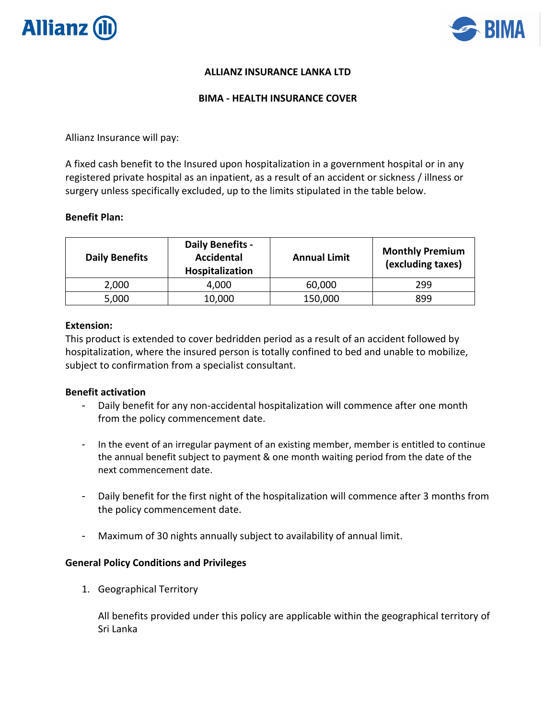



# **ALLIANZ INSURANCE LANKA LTD**

#### **BIMA - HEALTH INSURANCE COVER**

Allianz Insurance will pay:

A fixed cash benefit to the Insured upon hospitalization in a government hospital or in any registered private hospital as an inpatient, as a result of an accident or sickness / illness or surgery unless specifically excluded, up to the limits stipulated in the table below.

### **Benefit Plan:**

| <b>Daily Benefits</b> | Daily Benefits -<br><b>Accidental</b><br>Hospitalization | <b>Annual Limit</b> | <b>Monthly Premium</b><br>(excluding taxes) |
|-----------------------|----------------------------------------------------------|---------------------|---------------------------------------------|
| 2,000                 | 4,000                                                    | 60,000              | 299                                         |
| 5,000                 | 10,000                                                   | 150,000             | 899                                         |

#### **Extension:**

This product is extended to cover bedridden period as a result of an accident followed by hospitalization, where the insured person is totally confined to bed and unable to mobilize, subject to confirmation from a specialist consultant.

#### **Benefit activation**

- Daily benefit for any non-accidental hospitalization will commence after one month from the policy commencement date.
- In the event of an irregular payment of an existing member, member is entitled to continue the annual benefit subject to payment & one month waiting period from the date of the next commencement date.
- Daily benefit for the first night of the hospitalization will commence after 3 months from the policy commencement date.
- Maximum of 30 nights annually subject to availability of annual limit.

#### **General Policy Conditions and Privileges**

1. Geographical Territory

All benefits provided under this policy are applicable within the geographical territory of Sri Lanka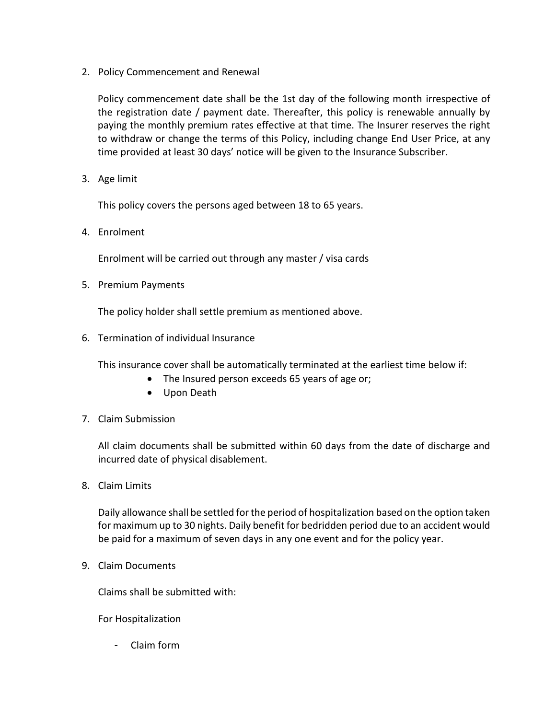2. Policy Commencement and Renewal

Policy commencement date shall be the 1st day of the following month irrespective of the registration date / payment date. Thereafter, this policy is renewable annually by paying the monthly premium rates effective at that time. The Insurer reserves the right to withdraw or change the terms of this Policy, including change End User Price, at any time provided at least 30 days' notice will be given to the Insurance Subscriber.

3. Age limit

This policy covers the persons aged between 18 to 65 years.

4. Enrolment

Enrolment will be carried out through any master / visa cards

5. Premium Payments

The policy holder shall settle premium as mentioned above.

6. Termination of individual Insurance

This insurance cover shall be automatically terminated at the earliest time below if:

- The Insured person exceeds 65 years of age or;
- Upon Death
- 7. Claim Submission

All claim documents shall be submitted within 60 days from the date of discharge and incurred date of physical disablement.

8. Claim Limits

Daily allowance shall be settled for the period of hospitalization based on the option taken for maximum up to 30 nights. Daily benefit for bedridden period due to an accident would be paid for a maximum of seven days in any one event and for the policy year.

9. Claim Documents

Claims shall be submitted with:

For Hospitalization

- Claim form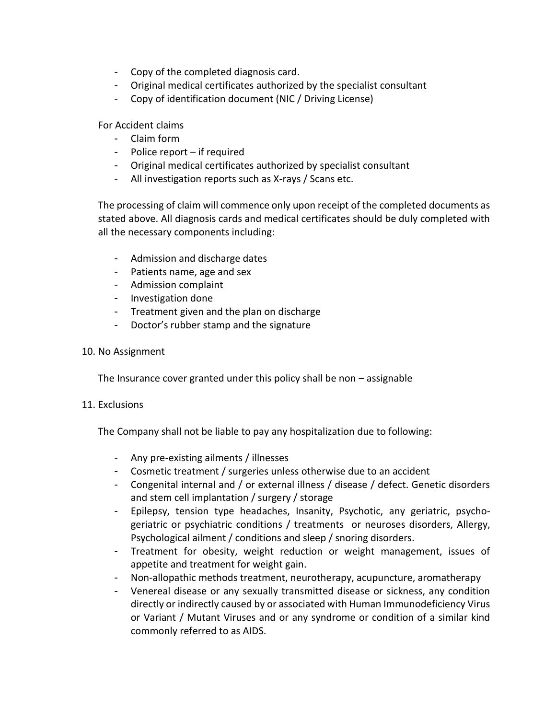- Copy of the completed diagnosis card.
- Original medical certificates authorized by the specialist consultant
- Copy of identification document (NIC / Driving License)

For Accident claims

- Claim form
- Police report if required
- Original medical certificates authorized by specialist consultant
- All investigation reports such as X-rays / Scans etc.

The processing of claim will commence only upon receipt of the completed documents as stated above. All diagnosis cards and medical certificates should be duly completed with all the necessary components including:

- Admission and discharge dates
- Patients name, age and sex
- Admission complaint
- Investigation done
- Treatment given and the plan on discharge
- Doctor's rubber stamp and the signature

## 10. No Assignment

The Insurance cover granted under this policy shall be non – assignable

## 11. Exclusions

The Company shall not be liable to pay any hospitalization due to following:

- Any pre-existing ailments / illnesses
- Cosmetic treatment / surgeries unless otherwise due to an accident
- Congenital internal and / or external illness / disease / defect. Genetic disorders and stem cell implantation / surgery / storage
- Epilepsy, tension type headaches, Insanity, Psychotic, any geriatric, psychogeriatric or psychiatric conditions / treatments or neuroses disorders, Allergy, Psychological ailment / conditions and sleep / snoring disorders.
- Treatment for obesity, weight reduction or weight management, issues of appetite and treatment for weight gain.
- Non-allopathic methods treatment, neurotherapy, acupuncture, aromatherapy
- Venereal disease or any sexually transmitted disease or sickness, any condition directly or indirectly caused by or associated with Human Immunodeficiency Virus or Variant / Mutant Viruses and or any syndrome or condition of a similar kind commonly referred to as AIDS.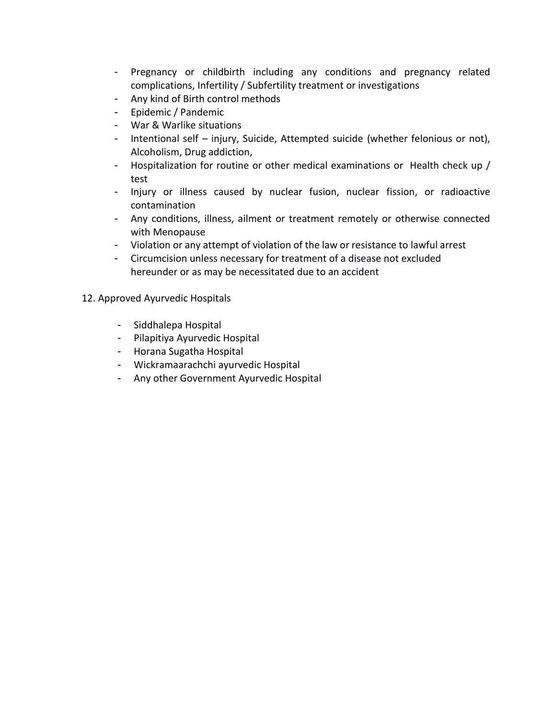- Pregnancy or childbirth including any conditions and pregnancy related complications, Infertility / Subfertility treatment or investigations
- Any kind of Birth control methods
- Epidemic / Pandemic
- War & Warlike situations
- Intentional self injury, Suicide, Attempted suicide (whether felonious or not), Alcoholism, Drug addiction,
- Hospitalization for routine or other medical examinations or Health check up / test
- Injury or illness caused by nuclear fusion, nuclear fission, or radioactive contamination
- Any conditions, illness, ailment or treatment remotely or otherwise connected with Menopause
- Violation or any attempt of violation of the law or resistance to lawful arrest
- Circumcision unless necessary for treatment of a disease not excluded hereunder or as may be necessitated due to an accident
- 12. Approved Ayurvedic Hospitals
	- Siddhalepa Hospital
	- Pilapitiya Ayurvedic Hospital
	- Horana Sugatha Hospital
	- Wickramaarachchi ayurvedic Hospital
	- Any other Government Ayurvedic Hospital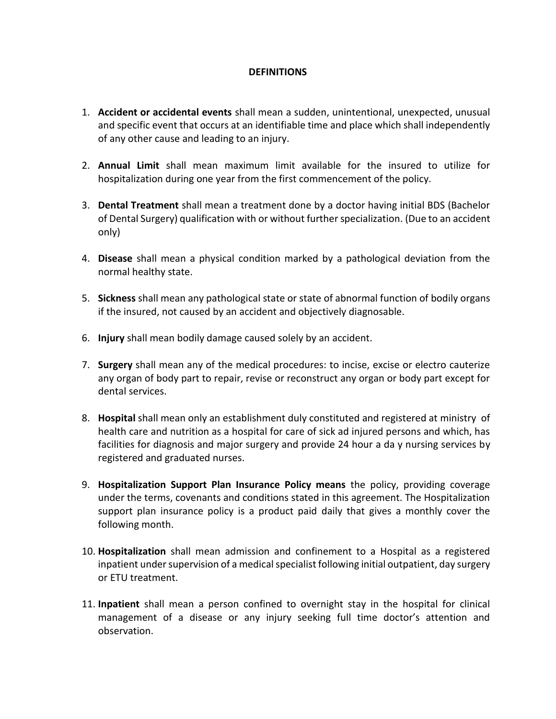## **DEFINITIONS**

- 1. **Accident or accidental events** shall mean a sudden, unintentional, unexpected, unusual and specific event that occurs at an identifiable time and place which shall independently of any other cause and leading to an injury.
- 2. **Annual Limit** shall mean maximum limit available for the insured to utilize for hospitalization during one year from the first commencement of the policy.
- 3. **Dental Treatment** shall mean a treatment done by a doctor having initial BDS (Bachelor of Dental Surgery) qualification with or without further specialization. (Due to an accident only)
- 4. **Disease** shall mean a physical condition marked by a pathological deviation from the normal healthy state.
- 5. **Sickness** shall mean any pathological state or state of abnormal function of bodily organs if the insured, not caused by an accident and objectively diagnosable.
- 6. **Injury** shall mean bodily damage caused solely by an accident.
- 7. **Surgery** shall mean any of the medical procedures: to incise, excise or electro cauterize any organ of body part to repair, revise or reconstruct any organ or body part except for dental services.
- 8. **Hospital** shall mean only an establishment duly constituted and registered at ministry of health care and nutrition as a hospital for care of sick ad injured persons and which, has facilities for diagnosis and major surgery and provide 24 hour a da y nursing services by registered and graduated nurses.
- 9. **Hospitalization Support Plan Insurance Policy means** the policy, providing coverage under the terms, covenants and conditions stated in this agreement. The Hospitalization support plan insurance policy is a product paid daily that gives a monthly cover the following month.
- 10. **Hospitalization** shall mean admission and confinement to a Hospital as a registered inpatient under supervision of a medical specialist following initial outpatient, day surgery or ETU treatment.
- 11. **Inpatient** shall mean a person confined to overnight stay in the hospital for clinical management of a disease or any injury seeking full time doctor's attention and observation.